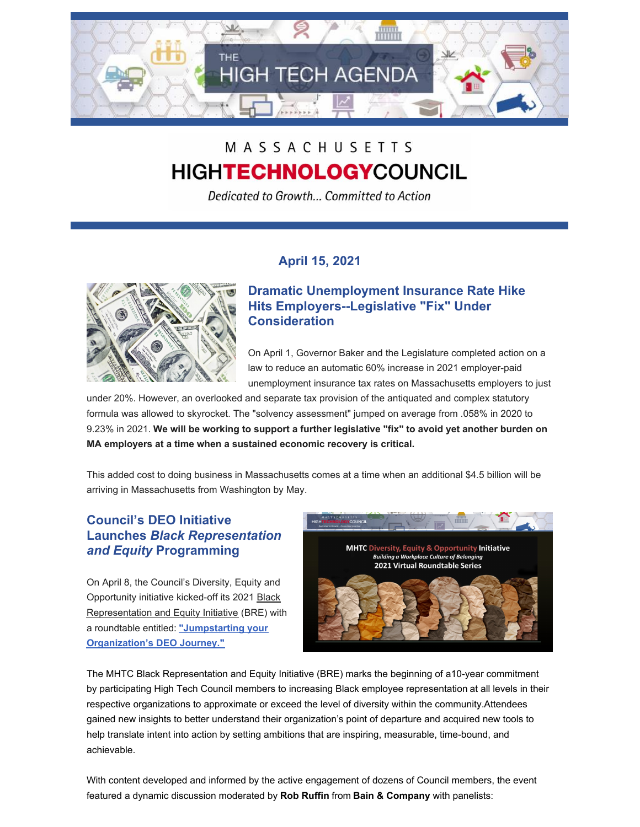

# MASSACHUSETTS **HIGHTECHNOLOGYCOUNCIL**

Dedicated to Growth... Committed to Action

## **April 15, 2021**



### **Dramatic Unemployment Insurance Rate Hike Hits Employers--Legislative "Fix" Under Consideration**

On April 1, Governor Baker and the Legislature completed action on a law to reduce an automatic 60% increase in 2021 employer-paid unemployment insurance tax rates on Massachusetts employers to just

under 20%. However, an overlooked and separate tax provision of the antiquated and complex statutory formula was allowed to skyrocket. The "solvency assessment" jumped on average from .058% in 2020 to 9.23% in 2021. **We will be working to support a further legislative "fix" to avoid yet another burden on MA employers at a time when a sustained economic recovery is critical.**

This added cost to doing business in Massachusetts comes at a time when an additional \$4.5 billion will be arriving in Massachusetts from Washington by May.

## **Council's DEO Initiative Launches** *Black Representation and Equity* **Programming**

On April 8, the Council's Diversity, Equity and Opportunity initiative kicked-off its 2021 Black [Representation](http://www.mhtc.org/bre-initiative/) and Equity Initiative (BRE) with a roundtable entitled: **["Jumpstarting](http://www.mhtc.org/deo-articles/jumpstarting-your-deo-journey/) your Organization's DEO Journey."**



The MHTC Black Representation and Equity Initiative (BRE) marks the beginning of a10-year commitment by participating High Tech Council members to increasing Black employee [representation](https://vimeo.com/457588292) at all levels in their respective organizations to approximate or exceed the level of diversity within the community.Attendees gained new insights to better understand their organization's point of departure and acquired new tools to help translate intent into action by setting ambitions that are inspiring, measurable, time-bound, and achievable.

With content developed and informed by the active engagement of dozens of Council members, the event featured a dynamic discussion moderated by **Rob Ruffin** from **Bain & Company** with panelists: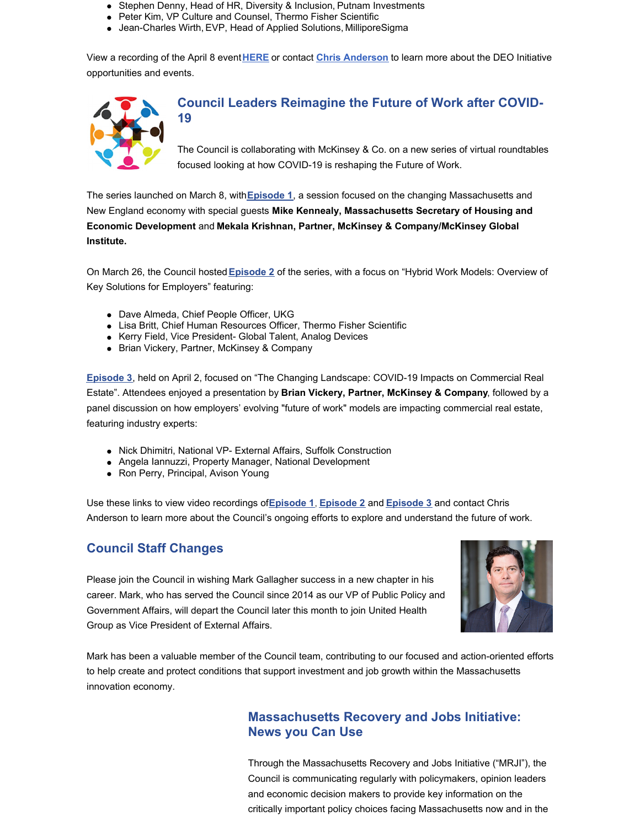- Stephen Denny, Head of HR, Diversity & Inclusion, Putnam Investments
- Peter Kim, VP Culture and Counsel, Thermo Fisher Scientific
- Jean-Charles Wirth, EVP, Head of Applied Solutions, MilliporeSigma

View a recording of the April 8 event**[HERE](https://vimeo.com/535016946)** or contact **Chris [Anderson](mailto:chris@mhtc.org)** to learn more about the DEO Initiative opportunities and events.



#### **Council Leaders Reimagine the Future of Work after COVID-19**

The Council is collaborating with McKinsey & Co. on a new series of virtual roundtables focused looking at how COVID-19 is reshaping the Future of Work.

The series launched on March 8, with**[Episode](https://vimeo.com/521654325) 1**, a session focused on the changing Massachusetts and New England economy with special guests **Mike Kennealy, Massachusetts Secretary of Housing and Economic Development** and **Mekala Krishnan, Partner, McKinsey & Company/McKinsey Global Institute.**

On March 26, the Council hosted**[Episode](https://vimeo.com/536145920) 2** of the series, with a focus on "Hybrid Work Models: Overview of Key Solutions for Employers" featuring:

- Dave Almeda, Chief People Officer, UKG
- Lisa Britt, Chief Human Resources Officer, Thermo Fisher Scientific
- Kerry Field, Vice President- Global Talent, Analog Devices
- Brian Vickery, Partner, McKinsey & Company

**[Episode](https://vimeo.com/536498472) 3**, held on April 2, focused on "The Changing Landscape: COVID-19 Impacts on Commercial Real Estate". Attendees enjoyed a presentation by **Brian Vickery, Partner, McKinsey & Company**, followed by a panel discussion on how employers' evolving "future of work" models are impacting commercial real estate, featuring industry experts:

- Nick Dhimitri, National VP- External Affairs, Suffolk Construction
- Angela Iannuzzi, Property Manager, National Development
- Ron Perry, Principal, Avison Young

Use these links to view video recordings of**[Episode](https://vimeo.com/521654325) 1**, **[Episode](https://vimeo.com/536145920) 2** and **[Episode](https://vimeo.com/536498472) 3** and contact Chris Anderson to learn more about the Council's ongoing efforts to explore and understand the future of work.

## **Council Staff Changes**

Please join the Council in wishing Mark Gallagher success in a new chapter in his career. Mark, who has served the Council since 2014 as our VP of Public Policy and Government Affairs, will depart the Council later this month to join United Health Group as Vice President of External Affairs.



Mark has been a valuable member of the Council team, contributing to our focused and action-oriented efforts to help create and protect conditions that support investment and job growth within the Massachusetts innovation economy.

### **Massachusetts Recovery and Jobs Initiative: News you Can Use**

Through the Massachusetts Recovery and Jobs Initiative ("MRJI"), the Council is communicating regularly with policymakers, opinion leaders and economic decision makers to provide key information on the critically important policy choices facing Massachusetts now and in the